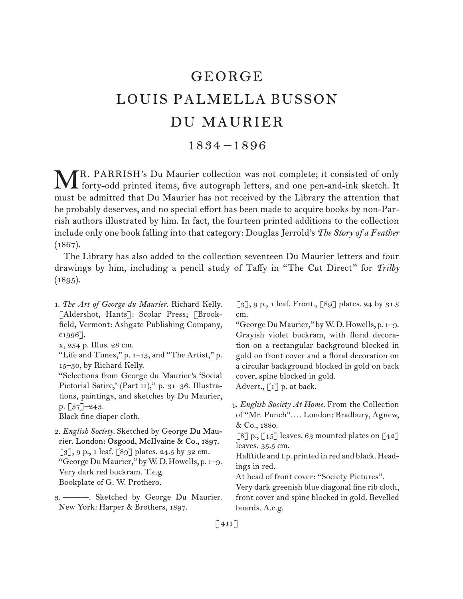# GEORGE LOUIS PALMELLA BUSSON DU MAURIER

## 1834 –1896

R. PARRISH's Du Maurier collection was not complete; it consisted of only MR. PARRISH's Du Maurier collection was not complete; it consisted of only forty-odd printed items, five autograph letters, and one pen-and-ink sketch. It must be admitted that Du Maurier has not received by the Library the attention that he probably deserves, and no special effort has been made to acquire books by non-Parrish authors illustrated by him. In fact, the fourteen printed additions to the collection include only one book falling into that category: Douglas Jerrold's *The Story of a Feather*   $(1867).$ 

The Library has also added to the collection seventeen Du Maurier letters and four drawings by him, including a pencil study of Taffy in "The Cut Direct" for *Trilby*   $(1895).$ 

1.  *The Art of George du Maurier.* Richard Kelly. [Aldershot, Hants]: Scolar Press; [Brookfield, Vermont: Ashgate Publishing Company, c1996].

"Selections from George du Maurier's 'Social Pictorial Satire,' (Part II)," p. 31-36. Illustrations, paintings, and sketches by Du Maurier, p. [37]–243.

Black fine diaper cloth.

- 2.  *English Society.* Sketched by George Du Maurier. London: Osgood, McIlvaine & Co., 1897.  $\lbrack 3 \rbrack, 9 \rbrack, 1$  leaf.  $\lbrack 89 \rbrack$  plates. 24.5 by 32 cm. "GeorgeDuMaurier," byW.D.Howells, p. 1–9. Very dark red buckram. T.e.g. Bookplate of G. W. Prothero.
- 3.  ———. Sketched by George Du Maurier. New York: Harper & Brothers, 1897.

 $\lbrack 3 \rbrack, 9 \rbrack$ , 1 leaf. Front.,  $\lbrack 89 \rbrack$  plates. 24 by 31.5 cm.

"GeorgeDuMaurier," byW.D.Howells, p. 1–9. Grayish violet buckram, with floral decoration on a rectangular background blocked in gold on front cover and a floral decoration on a circular background blocked in gold on back cover, spine blocked in gold.

Advert., [1] p. at back.

4.  *English Society At Home.* From the Collection of "Mr. Punch"*. . . .* London: Bradbury, Agnew, & Co., 1880.

 $\lceil 8 \rceil$  p.,  $\lceil 45 \rceil$  leaves. 63 mounted plates on  $\lceil 42 \rceil$ leaves. 35.5 cm.

Halftitle and t.p. printed in red and black.Headings in red.

At head of front cover: "Society Pictures".

Very dark greenish blue diagonal fine rib cloth, front cover and spine blocked in gold. Bevelled boards. A.e.g.

 $[411]$ 

x, 254 p. Illus. 28 cm.

<sup>&</sup>quot;Life and Times," p. 1–13, and "The Artist," p. 15–30, by Richard Kelly.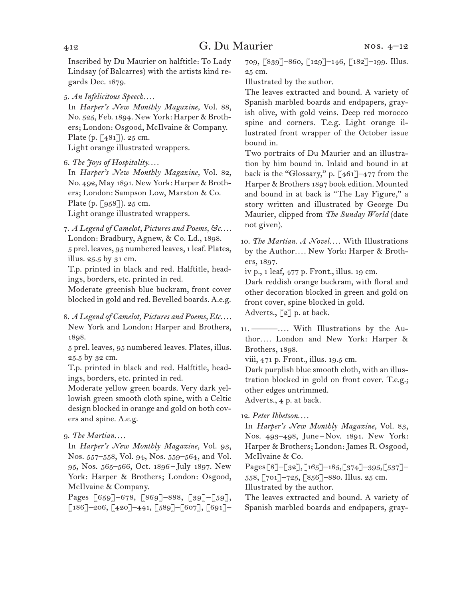Inscribed by Du Maurier on halftitle: To Lady Lindsay (of Balcarres) with the artists kind regards Dec. 1879.

5.  *An Infelicitous Speech. . . .*

In *Harper's New Monthly Magazine,* Vol. 88, No. 525, Feb. 1894. New York: Harper & Brothers; London: Osgood, McIlvaine & Company. Plate (p.  $[481]$ ). 25 cm. Light orange illustrated wrappers.

In *Harper's New Monthly Magazine,* Vol. 82, No. 492, May 1891. New York: Harper & Brothers; London: Sampson Low, Marston & Co. Plate (p. [958]). 25 cm.

Light orange illustrated wrappers.

7.  *A Legend of Camelot, Pictures and Poems, &c. . . .* London: Bradbury, Agnew, & Co. Ld., 1898. 5 prel. leaves, 95 numbered leaves, 1 leaf. Plates, illus. 25.5 by 31 cm.

T.p. printed in black and red. Halftitle, headings, borders, etc. printed in red.

Moderate greenish blue buckram, front cover blocked in gold and red. Bevelled boards. A.e.g.

8.  *A Legend of Camelot, Pictures and Poems, Etc. . . .* New York and London: Harper and Brothers, 1898.

5 prel. leaves, 95 numbered leaves. Plates, illus. 25.5 by 32 cm.

T.p. printed in black and red. Halftitle, headings, borders, etc. printed in red.

Moderate yellow green boards. Very dark yellowish green smooth cloth spine, with a Celtic design blocked in orange and gold on both covers and spine. A.e.g.

### 9.  *The Martian. . . .*

In *Harper's New Monthly Magazine,* Vol. 93, Nos. 557–558, Vol. 94, Nos. 559–564, and Vol. 95, Nos. 565–566, Oct. 1896 – July 1897. New York: Harper & Brothers; London: Osgood, McIlvaine & Company.

Pages [659]–678, [869]–888, [39]–[59], [186]–206, [420]–441, [589]–[607], [691]– 709, [839]–860, [129]–146, [182]–199. Illus. 25 cm.

Illustrated by the author.

The leaves extracted and bound. A variety of Spanish marbled boards and endpapers, grayish olive, with gold veins. Deep red morocco spine and corners. T.e.g. Light orange illustrated front wrapper of the October issue bound in.

Two portraits of Du Maurier and an illustration by him bound in. Inlaid and bound in at back is the "Glossary," p. [461]–477 from the Harper & Brothers 1897 book edition. Mounted and bound in at back is "The Lay Figure," a story written and illustrated by George Du Maurier, clipped from *The Sunday World* (date not given).

10.  *The Martian. A Novel. . . .* With Illustrations by the Author*. . . .* New York: Harper & Brothers, 1897.

iv p., 1 leaf, 477 p. Front., illus. 19 cm.

Dark reddish orange buckram, with floral and other decoration blocked in green and gold on front cover, spine blocked in gold.

Adverts., [2] p. at back.

11.  ———*. . . .* With Illustrations by the Author*. . . .* London and New York: Harper & Brothers, 1898.

viii, 471 p. Front., illus. 19.5 cm.

Dark purplish blue smooth cloth, with an illustration blocked in gold on front cover. T.e.g.; other edges untrimmed.

Adverts., 4 p. at back.

### 12.  *Peter Ibbetson. . . .*

In *Harper's New Monthly Magazine,* Vol. 83, Nos. 493–498, June – Nov. 1891. New York: Harper & Brothers; London: James R. Osgood, McIlvaine & Co.

Pages[8]–[32],[165]–185,[374]–395,[537]– 558, [701]–725, [856]–880. Illus. 25 cm. Illustrated by the author.

The leaves extracted and bound. A variety of Spanish marbled boards and endpapers, gray-

<sup>6.</sup>*The Joys of Hospitality. . . .*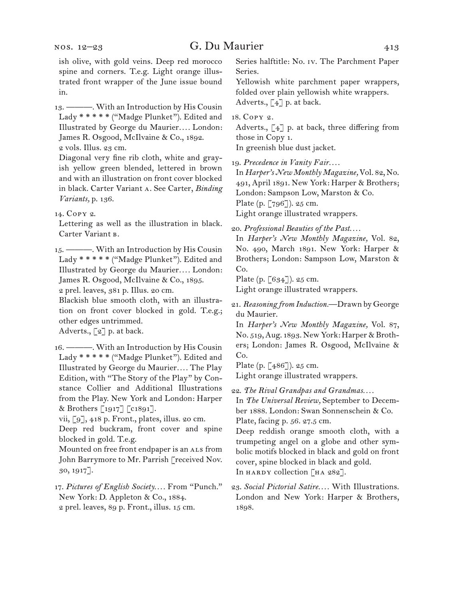ish olive, with gold veins. Deep red morocco spine and corners. T.e.g. Light orange illustrated front wrapper of the June issue bound in.

13.  ———. With an Introduction by His Cousin Lady \* \* \* \* \* ("Madge Plunket"). Edited and Illustrated by George du Maurier*. . . .* London: James R. Osgood, McIlvaine & Co., 1892. 2 vols. Illus. 23 cm.

Diagonal very fine rib cloth, white and grayish yellow green blended, lettered in brown and with an illustration on front cover blocked in black. Carter Variant a. See Carter, *Binding Variants,* p. 136.

14.  Copy 2.

Lettering as well as the illustration in black. Carter Variant b.

15.  ———. With an Introduction by His Cousin Lady \* \* \* \* \* ("Madge Plunket"). Edited and Illustrated by George du Maurier*. . . .* London: James R. Osgood, McIlvaine & Co., 1895.

2 prel. leaves, 381 p. Illus. 20 cm.

Blackish blue smooth cloth, with an illustration on front cover blocked in gold. T.e.g.; other edges untrimmed.

Adverts., [2] p. at back.

16.  ———. With an Introduction by His Cousin Lady \* \* \* \* \* ("Madge Plunket"). Edited and Illustrated by George du Maurier*. . . .* The Play Edition, with "The Story of the Play" by Constance Collier and Additional Illustrations from the Play. New York and London: Harper & Brothers [1917] [c1891].

vii, [9], 418 p. Front., plates, illus. 20 cm.

Deep red buckram, front cover and spine blocked in gold. T.e.g.

Mounted on free front endpaper is an ALS from John Barrymore to Mr. Parrish [received Nov. 30, 1917].

17.  *Pictures of English Society. . . .* From "Punch." New York: D. Appleton & Co., 1884. 2 prel. leaves, 89 p. Front., illus. 15 cm.

Series halftitle: No. iv. The Parchment Paper Series.

Yellowish white parchment paper wrappers, folded over plain yellowish white wrappers. Adverts.,  $\lceil 4 \rceil$  p. at back.

18.  Copy 2.

Adverts., [4] p. at back, three differing from those in Copy 1.

In greenish blue dust jacket.

19.  *Precedence in Vanity Fair. . . .*

In *Harper's New Monthly Magazine,* Vol. 82, No. 491, April 1891. New York: Harper & Brothers; London: Sampson Low, Marston & Co. Plate (p. [796]). 25 cm. Light orange illustrated wrappers.

20.  *Professional Beauties of the Past. . . .*

In *Harper's New Monthly Magazine,* Vol. 82, No. 490, March 1891. New York: Harper & Brothers; London: Sampson Low, Marston & Co.

Plate (p. [634]). 25 cm.

Light orange illustrated wrappers.

21.  *Reasoning from Induction.*—Drawn by George du Maurier.

Plate (p. [486]). 25 cm.

Light orange illustrated wrappers.

22.  *The Rival Grandpas and Grandmas. . . .*

In *The Universal Review,* September to December 1888. London: Swan Sonnenschein & Co. Plate, facing p. 56. 27.5 cm.

Deep reddish orange smooth cloth, with a trumpeting angel on a globe and other symbolic motifs blocked in black and gold on front cover, spine blocked in black and gold. In HARDY collection  $\lceil H A 282 \rceil$ .

In *Harper's New Monthly Magazine,* Vol. 87, No. 519,Aug. 1893. New York: Harper & Brothers; London: James R. Osgood, McIlvaine & Co.

<sup>23.</sup>*Social Pictorial Satire. . . .* With Illustrations. London and New York: Harper & Brothers, 1898.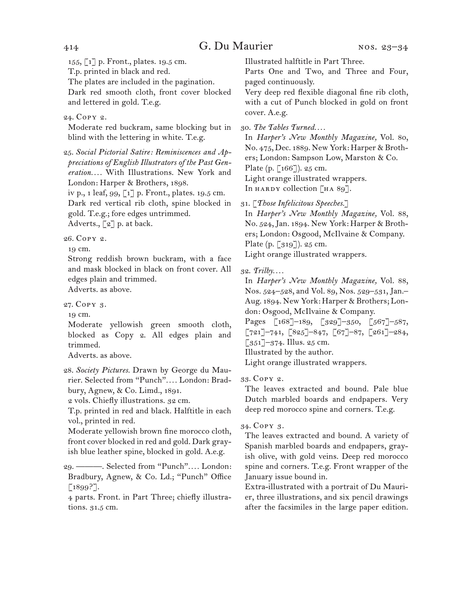155, [1] p. Front., plates. 19.5 cm.

T.p. printed in black and red.

The plates are included in the pagination.

Dark red smooth cloth, front cover blocked and lettered in gold. T.e.g.

24.  Copy 2.

Moderate red buckram, same blocking but in blind with the lettering in white. T.e.g.

25.  *Social Pictorial Satire: Reminiscences and Appreciations of English Illustrators of the Past Generation. . . .* With Illustrations. New York and London: Harper & Brothers, 1898.

iv p., 1 leaf, 99, [1] p. Front., plates. 19.5 cm. Dark red vertical rib cloth, spine blocked in gold. T.e.g.; fore edges untrimmed.

Adverts., [2] p. at back.

26.  Copy 2.

19 cm.

Strong reddish brown buckram, with a face and mask blocked in black on front cover. All edges plain and trimmed.

Adverts. as above.

27.  Copy 3.

19 cm.

Moderate yellowish green smooth cloth, blocked as Copy 2. All edges plain and trimmed.

Adverts. as above.

28.  *Society Pictures.* Drawn by George du Maurier. Selected from "Punch"*. . . .* London: Bradbury, Agnew, & Co. Limd., 1891.

2 vols. Chiefly illustrations. 32 cm.

T.p. printed in red and black. Halftitle in each vol., printed in red.

Moderate yellowish brown fine morocco cloth, front cover blocked in red and gold. Dark grayish blue leather spine, blocked in gold. A.e.g.

29.  ———. Selected from "Punch"*. . . .* London: Bradbury, Agnew, & Co. Ld.; "Punch" Office  $[1899?].$ 

4 parts. Front. in Part Three; chiefly illustrations. 31.5 cm.

Illustrated halftitle in Part Three.

Parts One and Two, and Three and Four, paged continuously.

Very deep red flexible diagonal fine rib cloth, with a cut of Punch blocked in gold on front cover. A.e.g.

30.  *The Tables Turned. . . .*

In *Harper's New Monthly Magazine,* Vol. 80, No. 475, Dec. 1889. New York: Harper & Brothers; London: Sampson Low, Marston & Co. Plate (p. [166]). 25 cm. Light orange illustrated wrappers. In HARDY collection  $\lceil H A 89 \rceil$ .

31.  [*Those Infelicitous Speeches.*]

In *Harper's New Monthly Magazine,* Vol. 88, No. 524,Jan. 1894. New York: Harper & Brothers; London: Osgood, McIlvaine & Company. Plate (p. [319]). 25 cm.

Light orange illustrated wrappers.

32.  *Trilby. . . .*

In *Harper's New Monthly Magazine,* Vol. 88, Nos. 524–528, and Vol. 89, Nos. 529–531, Jan.– Aug. 1894. New York: Harper & Brothers; London: Osgood, McIlvaine & Company.

Pages [168]-189, [329]-350, [567]-587,  $[721]$ –741,  $[825]$ –847,  $[67]$ –87,  $[261]$ –284,  $\left[351\right]-374$ . Illus. 25 cm.

Illustrated by the author.

Light orange illustrated wrappers.

33.  Copy 2.

The leaves extracted and bound. Pale blue Dutch marbled boards and endpapers. Very deep red morocco spine and corners. T.e.g.

### 34.  Copy 3.

The leaves extracted and bound. A variety of Spanish marbled boards and endpapers, grayish olive, with gold veins. Deep red morocco spine and corners. T.e.g. Front wrapper of the January issue bound in.

Extra-illustrated with a portrait of Du Maurier, three illustrations, and six pencil drawings after the facsimiles in the large paper edition.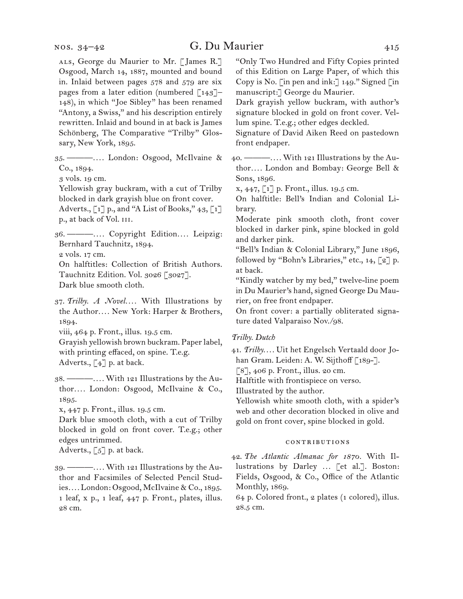ALS, George du Maurier to Mr. [James R.] Osgood, March 14, 1887, mounted and bound in. Inlaid between pages 578 and 579 are six pages from a later edition (numbered  $\lceil 143 \rceil$ -148), in which "Joe Sibley" has been renamed "Antony, a Swiss," and his description entirely rewritten. Inlaid and bound in at back is James Schönberg, The Comparative "Trilby" Glossary, New York, 1895.

35.  ———*. . . .* London: Osgood, McIlvaine & Co., 1894.

3 vols. 19 cm.

Yellowish gray buckram, with a cut of Trilby blocked in dark grayish blue on front cover.

Adverts., [1] p., and "A List of Books," 43, [1] p., at back of Vol. iii.

36.  ———*. . . .* Copyright Edition*. . . .* Leipzig: Bernhard Tauchnitz, 1894.

2 vols. 17 cm.

On halftitles: Collection of British Authors. Tauchnitz Edition. Vol. 3026 [3027]. Dark blue smooth cloth.

37.  *Trilby. A Novel. . . .* With Illustrations by the Author*. . . .* New York: Harper & Brothers, 1894.

viii, 464 p. Front., illus. 19.5 cm.

Grayish yellowish brown buckram. Paperlabel, with printing effaced, on spine. T.e.g. Adverts., [4] p. at back.

38.  ———*. . . .* With 121 Illustrations by the Author*. . . .* London: Osgood, McIlvaine & Co., 1895.

x, 447 p. Front., illus. 19.5 cm.

Dark blue smooth cloth, with a cut of Trilby blocked in gold on front cover. T.e.g.; other edges untrimmed.

Adverts.,  $\lceil 5 \rceil$  p. at back.

39.  ———*. . . .* With 121 Illustrations by the Author and Facsimiles of Selected Pencil Studies*. . . .* London: Osgood, McIlvaine & Co., 1895. 1 leaf, x p., 1 leaf, 447 p. Front., plates, illus. 28 cm.

"Only Two Hundred and Fifty Copies printed of this Edition on Large Paper, of which this Copy is No. [in pen and ink:] 149." Signed [in manuscript:] George du Maurier.

Dark grayish yellow buckram, with author's signature blocked in gold on front cover. Vellum spine. T.e.g.; other edges deckled.

Signature of David Aiken Reed on pastedown front endpaper.

40.  ———*. . . .* With 121 Illustrations by the Author*. . . .* London and Bombay: George Bell & Sons, 1896.

x, 447, [1] p. Front., illus. 19.5 cm.

On halftitle: Bell's Indian and Colonial Library.

Moderate pink smooth cloth, front cover blocked in darker pink, spine blocked in gold and darker pink.

"Bell's Indian & Colonial Library," June 1896, followed by "Bohn's Libraries," etc., 14, [2] p. at back.

"Kindly watcher by my bed," twelve-line poem in Du Maurier's hand, signed George Du Maurier, on free front endpaper.

On front cover: a partially obliterated signature dated Valparaiso Nov./98.

#### *Trilby. Dutch*

41.  *Trilby. . . .* Uit het Engelsch Vertaald door Johan Gram. Leiden: A. W. Sijthoff [189-].

[8], 406 p. Front., illus. 20 cm.

Halftitle with frontispiece on verso.

Illustrated by the author.

Yellowish white smooth cloth, with a spider's web and other decoration blocked in olive and gold on front cover, spine blocked in gold.

#### contributions

42.  *The Atlantic Almanac for 1870.* With Illustrations by Darley ... [et al.]. Boston: Fields, Osgood, & Co., Office of the Atlantic Monthly, 1869.

64 p. Colored front., 2 plates (1 colored), illus. 28.5 cm.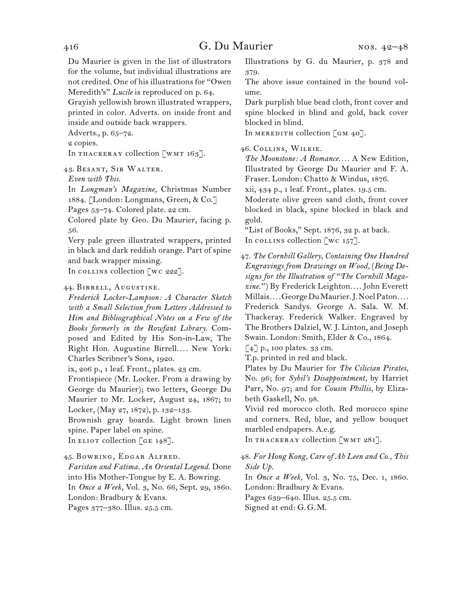Du Maurier is given in the list of illustrators for the volume, but individual illustrations are not credited. One of his illustrations for "Owen Meredith's" *Lucile* is reproduced on p. 64. Grayish yellowish brown illustrated wrappers,

printed in color. Adverts. on inside front and inside and outside back wrappers.

Adverts., p. 65–72.

2 copies.

In THACKERAY collection  $\lceil w \text{MT } 163 \rceil$ .

43.  Besant, Sir Walter.

*Even with This.*

In *Longman's Magazine,* Christmas Number 1884. [London: Longmans, Green, & Co.] Pages 53–74. Colored plate. 22 cm.

Colored plate by Geo. Du Maurier, facing p. 56.

Very pale green illustrated wrappers, printed in black and dark reddish orange. Part of spine and back wrapper missing.

In collection [wc 222].

#### 44.  Birrell, Augustine.

*Frederick Locker-Lampson: A Character Sketch with a Small Selection from Letters Addressed to Him and Bibliographical Notes on a Few of the Books formerly in the Rowfant Library.* Composed and Edited by His Son-in-Law, The Right Hon. Augustine Birrell.... New York: Charles Scribner's Sons, 1920.

ix, 206 p., 1 leaf. Front., plates. 23 cm.

Frontispiece (Mr. Locker. From a drawing by George du Maurier); two letters, George Du Maurier to Mr. Locker, August 24, 1867; to Locker, (May 27, 1872), p. 132–133.

Brownish gray boards. Light brown linen spine. Paper label on spine.

In ELIOT collection [GE 148].

45.  Bowring, Edgar Alfred.

*Faristan and Fatima. An Oriental Legend.* Done into His Mother-Tongue by E. A. Bowring. In *Once a Week,* Vol. 3, No. 66, Sept. 29, 1860. London: Bradbury & Evans.

Pages 377–380. Illus. 25.5 cm.

Illustrations by G. du Maurier, p. 378 and 379.

The above issue contained in the bound volume.

Dark purplish blue bead cloth, front cover and spine blocked in blind and gold, back cover blocked in blind.

In MEREDITH collection  $\lfloor$  GM 40].

46.  Collins, Wilkie.

*The Moonstone: A Romance. . . .* A New Edition, Illustrated by George Du Maurier and F. A. Fraser. London: Chatto & Windus, 1876.

xii, 434 p., 1 leaf. Front., plates. 19.5 cm.

Moderate olive green sand cloth, front cover blocked in black, spine blocked in black and gold.

"List of Books," Sept. 1876, 32 p. at back. In collection  $\lceil \text{wc } 157 \rceil$ .

47.  *The Cornhill Gallery, Containing One Hundred Engravings from Drawings on Wood,* (*Being Designs for the Illustration of "The Cornhill Magazine."* ) By Frederick Leighton*. . . .* John Everett Millais*. . . .*GeorgeDuMaurier.J.NoelPaton*. . . .* Frederick Sandys. George A. Sala. W. M. Thackeray. Frederick Walker. Engraved by The Brothers Dalziel, W. J. Linton, and Joseph Swain. London: Smith, Elder & Co., 1864.

 $[4]$  p., 100 plates. 33 cm.

T.p. printed in red and black.

Plates by Du Maurier for *The Cilician Pirates,* No. 96; for *Sybil's Disappointment,* by Harriet Parr, No. 97; and for *Cousin Phillis,* by Elizabeth Gaskell, No. 98.

Vivid red morocco cloth. Red morocco spine and corners. Red, blue, and yellow bouquet marbled endpapers. A.e.g.

In THACKERAY collection  $\lfloor$ WMT 281].

48.  *For Hong Kong, Care of Ah Leen and Co., This Side Up.*

In *Once a Week,* Vol. 3, No. 75, Dec. 1, 1860. London: Bradbury & Evans.

Pages 639–640. Illus. 25.5 cm. Signed at end: G. G. M.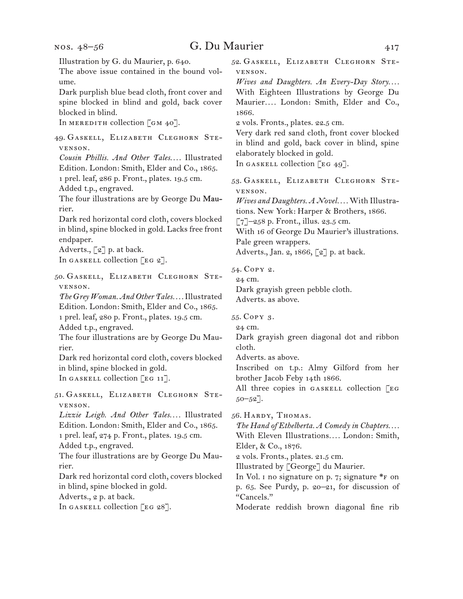Illustration by G. du Maurier, p. 640. The above issue contained in the bound volume. Dark purplish blue bead cloth, front cover and spine blocked in blind and gold, back cover blocked in blind. In MEREDITH collection  $\lceil$  GM 40]. 49.  Gaskell, Elizabeth Cleghorn Stevenson. *Cousin Phillis. And Other Tales. . . .* Illustrated Edition. London: Smith, Elder and Co., 1865. 1 prel. leaf, 286 p. Front., plates. 19.5 cm. Added t.p., engraved. The four illustrations are by George Du Maurier Dark red horizontal cord cloth, covers blocked in blind, spine blocked in gold. Lacks free front endpaper. Adverts., [2] p. at back. In GASKELL collection  $[EG 2]$ . 50.  Gaskell, Elizabeth Cleghorn Stevenson. *The Grey Woman. And Other Tales. . . .*Illustrated Edition. London: Smith, Elder and Co., 1865. 1 prel. leaf, 280 p. Front., plates. 19.5 cm. Added t.p., engraved. The four illustrations are by George Du Maurier. Dark red horizontal cord cloth, covers blocked in blind, spine blocked in gold. In GASKELL collection [EG 11]. 51.  Gaskell, Elizabeth Cleghorn Stevenson. *Lizzie Leigh. And Other Tales. . . .* Illustrated Edition. London: Smith, Elder and Co., 1865. 1 prel. leaf, 274 p. Front., plates. 19.5 cm. Added t.p., engraved. The four illustrations are by George Du Maurier. Dark red horizontal cord cloth, covers blocked in blind, spine blocked in gold. Adverts., 2 p. at back. In GASKELL collection [EG 28]. 52.  Gaskell, Elizabeth Cleghorn Stevenson. *Wives and Daughters. An Every-Day Story....* With Eighteen Illustrations by George Du Maurier*. . . .* London: Smith, Elder and Co., 1866. 2 vols. Fronts., plates. 22.5 cm. Very dark red sand cloth, front cover blocked in blind and gold, back cover in blind, spine elaborately blocked in gold. In GASKELL collection  $\lceil \text{EG } 49 \rceil$ . 53.  Gaskell, Elizabeth Cleghorn Stevenson. *Wives and Daughters. A Novel. . . .* With Illustrations. New York: Harper & Brothers, 1866.  $[7]$ –258 p. Front., illus. 23.5 cm. With 16 of George Du Maurier's illustrations. Pale green wrappers. Adverts., Jan. 2, 1866, [2] p. at back. 54.  Copy 2. 24 cm. Dark grayish green pebble cloth. Adverts. as above. 55.  Copy 3. 24 cm. Dark grayish green diagonal dot and ribbon cloth. Adverts. as above. Inscribed on t.p.: Almy Gilford from her brother Jacob Feby 14th 1866. All three copies in GASKELL collection [EG  $50 - 52$ ]. 56.  Hardy, Thomas. *The Hand of Ethelberta. A Comedy in Chapters. . . .* With Eleven Illustrations*. . . .* London: Smith, Elder, & Co., 1876. 2 vols. Fronts., plates. 21.5 cm. Illustrated by [George] du Maurier. In Vol. I no signature on p. 7; signature \*F on p. 65. See Purdy, p. 20–21, for discussion of "Cancels." Moderate reddish brown diagonal fine rib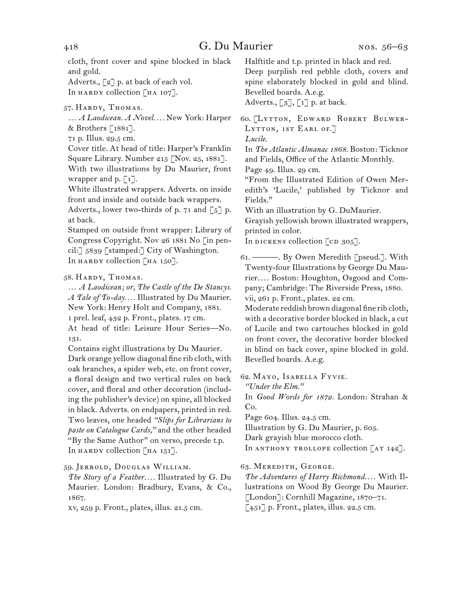cloth, front cover and spine blocked in black and gold.

Adverts., [2] p. at back of each vol. In HARDY collection [HA 107].

57.  Hardy, Thomas.

… *A Laodicean. A Novel. . . .* New York: Harper & Brothers [1881].

71 p. Illus. 29.5 cm.

Cover title. At head of title: Harper's Franklin Square Library. Number 215 [Nov. 25, 1881]. With two illustrations by Du Maurier, front wrapper and p.  $\lceil 1 \rceil$ .

White illustrated wrappers. Adverts. on inside front and inside and outside back wrappers. Adverts., lower two-thirds of p. 71 and  $\lceil 5 \rceil$  p. at back.

Stamped on outside front wrapper: Library of Congress Copyright. Nov 26 1881 No [in pencil:] 5839 [stamped:] City of Washington. In HARDY collection [HA 150].

### 58.  Hardy, Thomas.

… *A Laodicean; or, The Castle of the De Stancys. A Tale of To-day. . . .* Illustrated by Du Maurier. New York: Henry Holt and Company, 1881. 1 prel. leaf, 432 p. Front., plates. 17 cm. At head of title: Leisure Hour Series—No. 131.

Contains eight illustrations by Du Maurier. Dark orange yellow diagonal fine rib cloth, with oak branches, a spider web, etc. on front cover, a floral design and two vertical rules on back cover, and floral and other decoration (including the publisher's device) on spine, all blocked in black. Adverts. on endpapers, printed in red. Two leaves, one headed *"Slips for Librarians to paste on Catalogue Cards,"* and the other headed "By the Same Author" on verso, precede t.p. In HARDY collection  $\lceil H A 151 \rceil$ .

59.  Jerrold, Douglas William.

*The Story of a Feather. . . .* Illustrated by G. Du Maurier. London: Bradbury, Evans, & Co., 1867.

xv, 259 p. Front., plates, illus. 21.5 cm.

Halftitle and t.p. printed in black and red.

Deep purplish red pebble cloth, covers and spine elaborately blocked in gold and blind. Bevelled boards. A.e.g. Adverts.,  $\begin{bmatrix} 3 \end{bmatrix}$ ,  $\begin{bmatrix} 1 \end{bmatrix}$  p. at back.

60.  [Lytton, Edward Robert Bulwer-LYTTON, 1ST EARL OF.] *Lucile.*

In *The Atlantic Almanac 1868.* Boston: Ticknor and Fields, Office of the Atlantic Monthly. Page 49. Illus. 29 cm.

"From the Illustrated Edition of Owen Meredith's 'Lucile,' published by Ticknor and Fields."

With an illustration by G. DuMaurier.

Grayish yellowish brown illustrated wrappers, printed in color.

In DICKENS collection  $[CD 305]$ .

61.  ———. By Owen Meredith [pseud.]. With Twenty-four Illustrations by George Du Maurier*. . . .* Boston: Houghton, Osgood and Company; Cambridge: The Riverside Press, 1880. vii, 261 p. Front., plates. 22 cm.

Moderate reddish brown diagonal fine rib cloth, with a decorative border blocked in black, a cut of Lucile and two cartouches blocked in gold on front cover, the decorative border blocked in blind on back cover, spine blocked in gold. Bevelled boards. A.e.g.

62.  Mayo, Isabella Fyvie.

*"Under the Elm."*

In *Good Words for 1872.* London: Strahan & Co.

Page 604. Illus. 24.5 cm.

Illustration by G. Du Maurier, p. 605.

Dark grayish blue morocco cloth.

In ANTHONY TROLLOPE collection  $[AT 142]$ .

63.  Meredith, George.

*The Adventures of Harry Richmond. . . .* With Illustrations on Wood By George Du Maurier. [London]: Cornhill Magazine, 1870–71. [451] p. Front., plates, illus. 22.5 cm.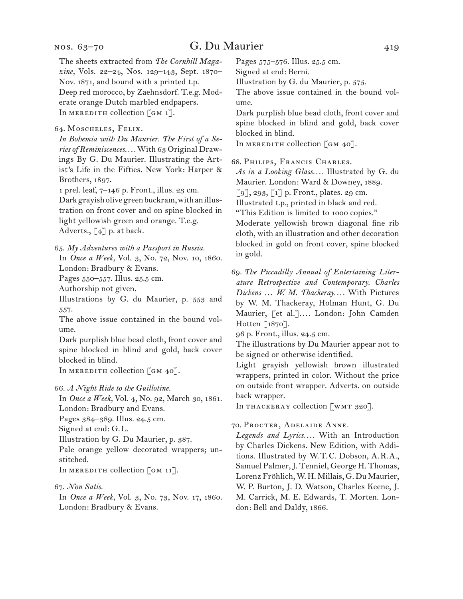# nos. 63–70

| nos. 63–70                                                                                                                                                                                                                                                                                                                                                    | G. Du Maurier |                                                                                                                                                                                                                                                                                                                                                                                                                                             | 419 |
|---------------------------------------------------------------------------------------------------------------------------------------------------------------------------------------------------------------------------------------------------------------------------------------------------------------------------------------------------------------|---------------|---------------------------------------------------------------------------------------------------------------------------------------------------------------------------------------------------------------------------------------------------------------------------------------------------------------------------------------------------------------------------------------------------------------------------------------------|-----|
| The sheets extracted from The Cornhill Maga-<br>zine, Vols. 22-24, Nos. 129-143, Sept. 1870-<br>Nov. 1871, and bound with a printed t.p.<br>Deep red morocco, by Zaehnsdorf. T.e.g. Mod-<br>erate orange Dutch marbled endpapers.<br>In MEREDITH collection [GM 1].                                                                                           |               | Pages 575-576. Illus. 25.5 cm.<br>Signed at end: Berni.<br>Illustration by G. du Maurier, p. 575.<br>The above issue contained in the bound vol-<br>ume.<br>Dark purplish blue bead cloth, front cover and                                                                                                                                                                                                                                  |     |
| 64. MOSCHELES, FELIX.<br>In Bohemia with Du Maurier. The First of a Se-<br>ries of Reminiscences With 63 Original Draw-                                                                                                                                                                                                                                       |               | spine blocked in blind and gold, back cover<br>blocked in blind.<br>In MEREDITH collection [GM 40].                                                                                                                                                                                                                                                                                                                                         |     |
| ings By G. Du Maurier. Illustrating the Art-<br>ist's Life in the Fifties. New York: Harper &<br>Brothers, 1897.<br>1 prel. leaf, 7-146 p. Front., illus. 23 cm.<br>Dark grayish olive green buckram, with an illus-<br>tration on front cover and on spine blocked in<br>light yellowish green and orange. T.e.g.<br>Adverts., $\lceil 4 \rceil$ p. at back. |               | 68. PHILIPS, FRANCIS CHARLES.<br>As in a Looking Glass Illustrated by G. du<br>Maurier. London: Ward & Downey, 1889.<br>$\lceil 9 \rceil$ , 293, $\lceil 1 \rceil$ p. Front., plates. 29 cm.<br>Illustrated t.p., printed in black and red.<br>"This Edition is limited to 1000 copies."<br>Moderate yellowish brown diagonal fine rib<br>cloth, with an illustration and other decoration<br>blocked in gold on front cover, spine blocked |     |
| 65. My Adventures with a Passport in Russia.<br>In Once a Week, Vol. 3, No. 72, Nov. 10, 1860.                                                                                                                                                                                                                                                                |               | in gold.                                                                                                                                                                                                                                                                                                                                                                                                                                    |     |
| London: Bradbury & Evans.<br>Pages 550-557. Illus. 25.5 cm.<br>Authorship not given.<br>Illustrations by G. du Maurier, p. 553 and<br>557.<br>The above issue contained in the bound vol-<br>ume.<br>Dark purplish blue bead cloth, front cover and                                                                                                           |               | 69. The Piccadilly Annual of Entertaining Liter-<br>ature Retrospective and Contemporary. Charles<br>Dickens  W. M. Thackeray With Pictures<br>by W. M. Thackeray, Holman Hunt, G. Du<br>Maurier, [et al.] London: John Camden<br>Hotten $[1870]$ .<br>96 p. Front., illus. 24.5 cm.<br>The illustrations by Du Maurier appear not to                                                                                                       |     |
| spine blocked in blind and gold, back cover<br>blocked in blind.<br>In MEREDITH collection [GM 40].                                                                                                                                                                                                                                                           |               | be signed or otherwise identified.<br>Light grayish yellowish brown illustrated<br>wrappers, printed in color. Without the price                                                                                                                                                                                                                                                                                                            |     |
| 66. A Night Ride to the Guillotine.<br>In Once a Week, Vol. 4, No. 92, March 30, 1861.<br>London: Bradbury and Evans.                                                                                                                                                                                                                                         |               | on outside front wrapper. Adverts. on outside<br>back wrapper.<br>In THACKERAY collection [WMT 320].                                                                                                                                                                                                                                                                                                                                        |     |
| Pages 384-389. Illus. 24.5 cm.<br>Signed at end: G.L.<br>Illustration by G. Du Maurier, p. 387.<br>Pale orange yellow decorated wrappers; un-<br>stitched.                                                                                                                                                                                                    |               | 70. PROCTER, ADELAIDE ANNE.<br>Legends and Lyrics With an Introduction<br>by Charles Dickens. New Edition, with Addi-<br>tions. Illustrated by W.T.C. Dobson, A.R.A.,                                                                                                                                                                                                                                                                       |     |

In MEREDITH collection  $\lceil$  GM 11].

#### 67.  *Non Satis.*

In *Once a Week,* Vol. 3, No. 73, Nov. 17, 1860. London: Bradbury & Evans.

*Legends and Lyrics. . . .* With an Introduction by Charles Dickens. New Edition, with Additions. Illustrated by W. T. C. Dobson, A. R. A., Samuel Palmer,J. Tenniel, George H. Thomas, Lorenz Fröhlich,W. H. Millais, G. Du Maurier, W. P. Burton, J. D. Watson, Charles Keene, J. M. Carrick, M. E. Edwards, T. Morten. London: Bell and Daldy, 1866.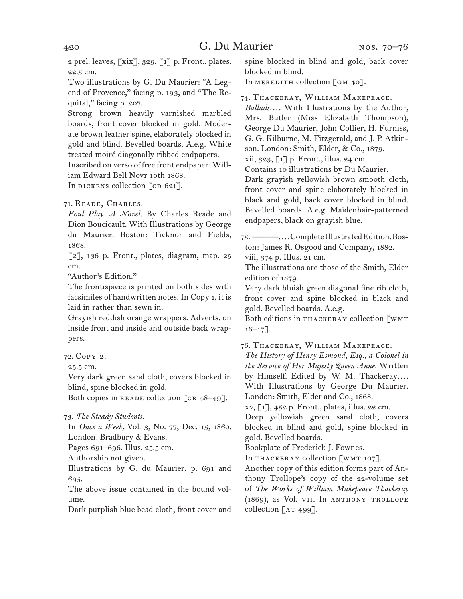2 prel. leaves,  $[xix]$ , 329,  $[i]$  p. Front., plates. 22.5 cm.

Two illustrations by G. Du Maurier: "A Legend of Provence," facing p. 193, and "The Requital," facing p. 207.

Strong brown heavily varnished marbled boards, front cover blocked in gold. Moderate brown leather spine, elaborately blocked in gold and blind. Bevelled boards. A.e.g. White treated moiré diagonally ribbed endpapers. Inscribed on verso of free front endpaper: Will-

iam Edward Bell Novr 10th 1868.

In DICKENS collection  $\lceil$  cD 621].

71.  Reade, Charles.

*Foul Play. A Novel.* By Charles Reade and Dion Boucicault. With Illustrations by George du Maurier. Boston: Ticknor and Fields, 1868.

 $\lceil 2 \rceil$ , 136 p. Front., plates, diagram, map. 25 cm.

"Author's Edition."

The frontispiece is printed on both sides with facsimiles of handwritten notes. In Copy 1, it is laid in rather than sewn in.

Grayish reddish orange wrappers. Adverts. on inside front and inside and outside back wrappers.

72.  Copy 2.

25.5 cm.

Very dark green sand cloth, covers blocked in blind, spine blocked in gold.

Both copies in READE collection  $[\text{CR } 48-49]$ .

73.  *The Steady Students.*

In *Once a Week,* Vol. 3, No. 77, Dec. 15, 1860. London: Bradbury & Evans.

Pages 691–696. Illus. 25.5 cm.

Authorship not given.

Illustrations by G. du Maurier, p. 691 and 695.

The above issue contained in the bound volume.

Dark purplish blue bead cloth, front cover and

spine blocked in blind and gold, back cover blocked in blind.

In MEREDITH collection  $\lceil$  GM 40].

74.  Thackeray, William Makepeace.

*Ballads. . . .* With Illustrations by the Author, Mrs. Butler (Miss Elizabeth Thompson), George Du Maurier, John Collier, H. Furniss, G. G. Kilburne, M. Fitzgerald, and J. P. Atkinson. London: Smith, Elder, & Co., 1879. xii, 323, [1] p. Front., illus. 24 cm. Contains 10 illustrations by Du Maurier. Dark grayish yellowish brown smooth cloth,

front cover and spine elaborately blocked in black and gold, back cover blocked in blind. Bevelled boards. A.e.g. Maidenhair-patterned endpapers, black on grayish blue.

75.  ———*. . . .*CompleteIllustratedEdition.Boston: James R. Osgood and Company, 1882. viii, 374 p. Illus. 21 cm.

The illustrations are those of the Smith, Elder

edition of 1879.

Very dark bluish green diagonal fine rib cloth, front cover and spine blocked in black and gold. Bevelled boards. A.e.g.

Both editions in THACKERAY collection [WMT  $16 - 17$ ].

76.  Thackeray, William Makepeace.

*The History of Henry Esmond, Esq., a Colonel in the Service of Her Majesty Queen Anne.* Written by Himself. Edited by W. M. Thackeray*. . . .* With Illustrations by George Du Maurier. London: Smith, Elder and Co., 1868.

xv, [1], 452 p. Front., plates, illus. 22 cm.

Deep yellowish green sand cloth, covers blocked in blind and gold, spine blocked in gold. Bevelled boards.

Bookplate of Frederick J. Fownes.

In THACKERAY collection [WMT 107].

Another copy of this edition forms part of Anthony Trollope's copy of the 22-volume set of *The Works of William Makepeace Thackeray*  (1869), as Vol. vii. In anthony trollope collection  $\lceil$  AT 499].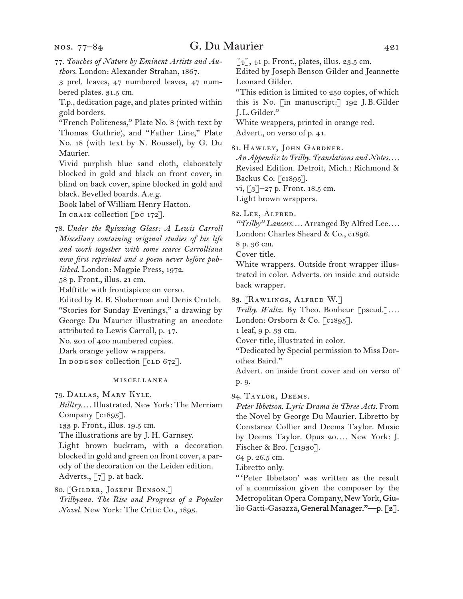nos. 77–84

77.  *Touches of Nature by Eminent Artists and Authors.* London: Alexander Strahan, 1867.

3 prel. leaves, 47 numbered leaves, 47 numbered plates. 31.5 cm.

T.p., dedication page, and plates printed within gold borders.

"French Politeness," Plate No. 8 (with text by Thomas Guthrie), and "Father Line," Plate No. 18 (with text by N. Roussel), by G. Du Maurier.

Vivid purplish blue sand cloth, elaborately blocked in gold and black on front cover, in blind on back cover, spine blocked in gold and black. Bevelled boards. A.e.g.

Book label of William Henry Hatton. In CRAIK collection  $\lceil$ DC 172].

78.  *Under the Quizzing Glass: A Lewis Carroll Miscellany containing original studies of his life and work together with some scarce Carrolliana now first reprinted and a poem never before published.* London: Magpie Press, 1972.

58 p. Front., illus. 21 cm.

Halftitle with frontispiece on verso.

Edited by R. B. Shaberman and Denis Crutch. "Stories for Sunday Evenings," a drawing by George Du Maurier illustrating an anecdote attributed to Lewis Carroll, p. 47.

No. 201 of 400 numbered copies.

Dark orange yellow wrappers.

In dodgson collection  $[CD 672]$ .

#### miscellanea

79.  Dallas, Mary Kyle. *Billtry. . . .* Illustrated. New York: The Merriam Company  $\lceil c_1 895 \rceil$ .

133 p. Front., illus. 19.5 cm.

The illustrations are by J. H. Garnsey.

Light brown buckram, with a decoration blocked in gold and green on front cover, a parody of the decoration on the Leiden edition. Adverts., [7] p. at back.

80.  [Gilder, Joseph Benson.] *Trilbyana. The Rise and Progress of a Popular Novel.* New York: The Critic Co., 1895.

[4], 41 p. Front., plates, illus. 23.5 cm.

Edited by Joseph Benson Gilder and Jeannette Leonard Gilder.

"This edition is limited to 250 copies, of which this is No. [in manuscript:] 192 J. B. Gilder J. L. Gilder."

White wrappers, printed in orange red. Advert., on verso of p. 41.

81.  Hawley, John Gardner.

*An Appendix to Trilby. Translations and Notes. . . .* Revised Edition. Detroit, Mich.: Richmond & Backus Co. [c1895].

vi, [3]–27 p. Front. 18.5 cm.

Light brown wrappers.

82.  Lee, Alfred.

*"Trilby" Lancers. . . .* Arranged By Alfred Lee*. . . .*

London: Charles Sheard & Co., c1896.

8 p. 36 cm.

Cover title.

White wrappers. Outside front wrapper illustrated in color. Adverts. on inside and outside back wrapper.

83.  [Rawlings, Alfred W.]

*Trilby. Waltz.* By Theo. Bonheur [pseud.]*. . . .*

London: Orsborn & Co. [c1895].

1 leaf, 9 p. 33 cm.

Cover title, illustrated in color.

"Dedicated by Special permission to Miss Dorothea Baird."

Advert. on inside front cover and on verso of p. 9.

84.  Taylor, Deems.

*Peter Ibbetson. Lyric Drama in Three Acts.* From the Novel by George Du Maurier. Libretto by Constance Collier and Deems Taylor. Music by Deems Taylor. Opus 20*. . . .* New York: J. Fischer & Bro. [c1930].

64 p. 26.5 cm.

Libretto only.

" 'Peter Ibbetson' was written as the result of a commission given the composer by the Metropolitan Opera Company, New York, Giulio Gatti-Gasazza, General Manager."—p. [2].